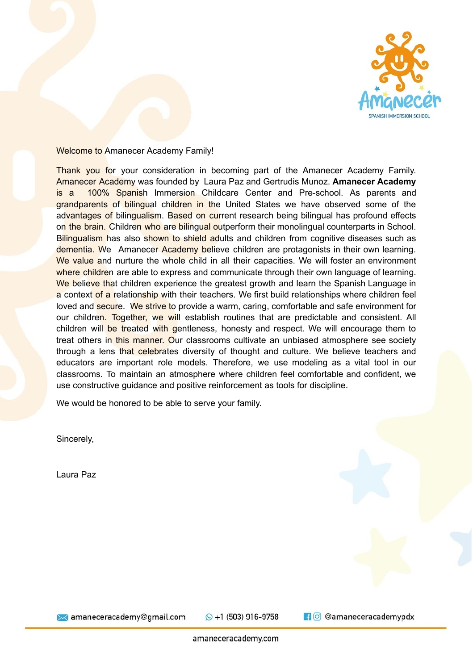

Welcome to Amanecer Academy Family!

Thank you for your consideration in becoming part of the Amanecer Academy Family. Amanecer Academy was founded by Laura Paz and Gertrudis Munoz. **Amanecer Academy** is a 100% Spanish Immersion Childcare Center and Pre-school. As parents and grandparents of bilingual children in the United States we have observed some of the advantages of bilingualism. Based on current research being bilingual has profound effects on the brain. Children who are bilingual outperform their monolingual counterparts in School. Bilingualism has also shown to shield adults and children from cognitive diseases such as dementia. We Amanecer Academy believe children are protagonists in their own learning. We value and nurture the whole child in all their capacities. We will foster an environment where children are able to express and communicate through their own language of learning. We believe that children experience the greatest growth and learn the Spanish Language in a context of a relationship with their teachers. We first build relationships where children feel loved and secure. We strive to provide a warm, caring, comfortable and safe environment for our children. Together, we will establish routines that are predictable and consistent. All children will be treated with gentleness, honesty and respect. We will encourage them to treat others in this manner. Our classrooms cultivate an unbiased atmosphere see society through a lens that celebrates diversity of thought and culture. We believe teachers and educators are important role models. Therefore, we use modeling as a vital tool in our classrooms. To maintain an atmosphere where children feel comfortable and confident, we use constructive guidance and positive reinforcement as tools for discipline.

We would be honored to be able to serve your family.

Sincerely,

Laura Paz



**X** amaneceracademy@gmail.com

 $\odot$  +1 (503) 916-9758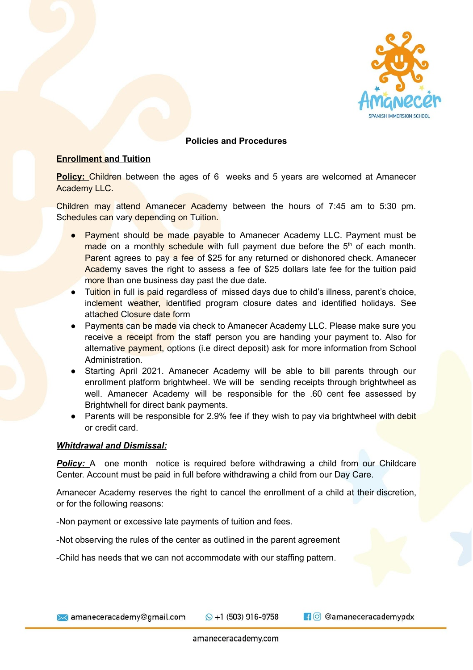

### **Policies and Procedures**

### **Enrollment and Tuition**

**Policy:** Children between the ages of 6 weeks and 5 years are welcomed at Amanecer Academy LLC.

Children may attend Amanecer Academy between the hours of 7:45 am to 5:30 pm. Schedules can vary depending on Tuition.

- Payment should be made payable to Amanecer Academy LLC. Payment must be made on a monthly schedule with full payment due before the 5<sup>th</sup> of each month. Parent agrees to pay a fee of \$25 for any returned or dishonored check. Amanecer Academy saves the right to assess a fee of \$25 dollars late fee for the tuition paid more than one business day past the due date.
- Tuition in full is paid regardless of missed days due to child's illness, parent's choice, inclement weather, identified program closure dates and identified holidays. See attached Closure date form
- Payments can be made via check to Amanecer Academy LLC. Please make sure you receive a receipt from the staff person you are handing your payment to. Also for alternative payment, options (i.e direct deposit) ask for more information from School Administration.
- Starting April 2021. Amanecer Academy will be able to bill parents through our enrollment platform brightwheel. We will be sending receipts through brightwheel as well. Amanecer Academy will be responsible for the .60 cent fee assessed by Brightwhell for direct bank payments.
- Parents will be responsible for 2.9% fee if they wish to pay via brightwheel with debit or credit card.

#### *Whitdrawal and Dismissal:*

**Policy:** A one month notice is required before withdrawing a child from our Childcare Center. Account must be paid in full before withdrawing a child from our Day Care.

Amanecer Academy reserves the right to cancel the enrollment of a child at their discretion, or for the following reasons:

-Non payment or excessive late payments of tuition and fees.

-Not observing the rules of the center as outlined in the parent agreement

-Child has needs that we can not accommodate with our staffing pattern.

 $\odot$  +1 (503) 916-9758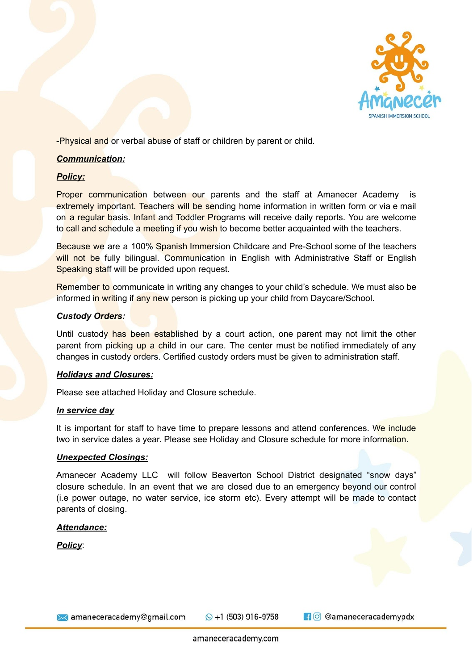

-Physical and or verbal abuse of staff or children by parent or child.

## *Communication:*

## *Policy:*

**Proper communication** between our parents and the staff at Amanecer Academy is extremely important. Teachers will be sending home information in written form or via e mail on a regular basis. Infant and Toddler Programs will receive daily reports. You are welcome to call and schedule a meeting if you wish to become better acquainted with the teachers.

Because we are a 100% Spanish Immersion Childcare and Pre-School some of the teachers will not be fully bilingual. Communication in English with Administrative Staff or English Speaking staff will be provided upon request.

Remember to communicate in writing any changes to your child's schedule. We must also be informed in writing if any new person is picking up your child from Daycare/School.

## *Custody Orders:*

Until custody has been established by a court action, one parent may not limit the other parent from picking up a child in our care. The center must be notified immediately of any changes in custody orders. Certified custody orders must be given to administration staff.

### *Holidays and Closures:*

Please see attached Holiday and Closure schedule.

### *In service day*

It is important for staff to have time to prepare lessons and attend conferences. We include two in service dates a year. Please see Holiday and Closure schedule for more information.

### *Unexpected Closings:*

Amanecer Academy LLC will follow Beaverton School District designated "snow days" closure schedule. In an event that we are closed due to an emergency beyond our control (i.e power outage, no water service, ice storm etc). Every attempt will be made to contact parents of closing.

### *Attendance:*

*Policy*:

**X** amaneceracademy@gmail.com

 $\odot$  +1 (503) 916-9758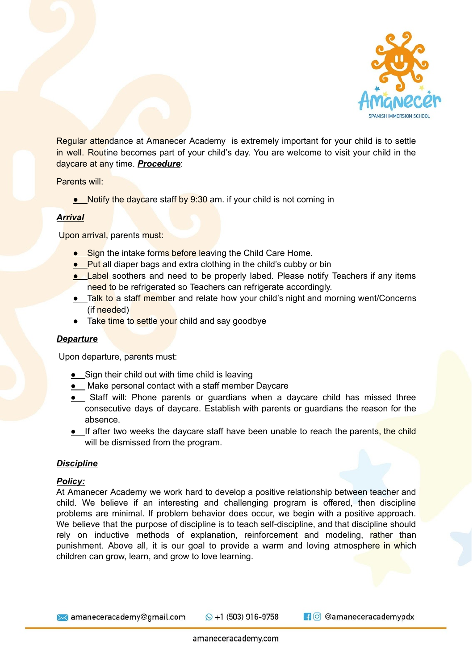

Regular attendance at Amanecer Academy is extremely important for your child is to settle in well. Routine becomes part of your child's day. You are welcome to visit your child in the daycare at any time. *Procedure*:

Parents will:

*●* Notify the daycare staff by 9:30 am. if your child is not coming in

### *Arrival*

Upon arrival, parents must:

- **•** Sign the intake forms before leaving the Child Care Home.
- *●* Put all diaper bags and extra clothing in the child's cubby or bin
- *●* Label soothers and need to be properly labed. Please notify Teachers if any items need to be refrigerated so Teachers can refrigerate accordingly.
- *●* Talk to a staff member and relate how your child's night and morning went/Concerns (if needed)
- *●* Take time to settle your child and say goodbye

### *Departure*

Upon departure, parents must:

- *●* Sign their child out with time child is leaving
- *●* Make personal contact with a staff member Daycare
- *●* Staff will: Phone parents or guardians when a daycare child has missed three consecutive days of daycare. Establish with parents or guardians the reason for the absence.
- **•** If after two weeks the daycare staff have been unable to reach the parents, the child will be dismissed from the program.

### *Discipline*

#### *Policy:*

At Amanecer Academy we work hard to develop a positive relationship between teacher and child. We believe if an interesting and challenging program is offered, then discipline problems are minimal. If problem behavior does occur, we begin with a positive approach. We believe that the purpose of discipline is to teach self-discipline, and that discipline should rely on inductive methods of explanation, reinforcement and modeling, rather than punishment. Above all, it is our goal to provide a warm and loving atmosphere in which children can grow, learn, and grow to love learning.

**X** amaneceracademy@gmail.com

 $\odot$  +1 (503) 916-9758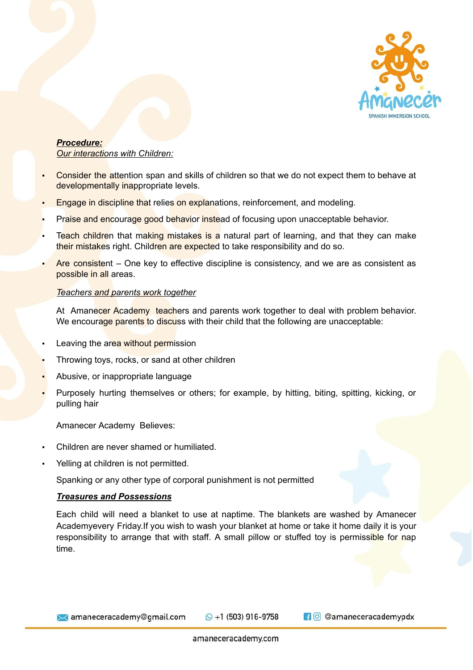

#### *Procedure: Our interactions with Children:*

- Consider the attention span and skills of children so that we do not expect them to behave at developmentally inappropriate levels.
- Engage in discipline that relies on explanations, reinforcement, and modeling.
- Praise and encourage good behavior instead of focusing upon unacceptable behavior.
- Teach children that making mistakes is a natural part of learning, and that they can make their mistakes right. Children are expected to take responsibility and do so.
- Are consistent One key to effective discipline is consistency, and we are as consistent as possible in all areas.

### *Teachers and parents work together*

At Amanecer Academy teachers and parents work together to deal with problem behavior. We encourage parents to discuss with their child that the following are unacceptable:

- Leaving the area without permission
- Throwing toys, rocks, or sand at other children
- Abusive, or inappropriate language
- Purposely hurting themselves or others; for example, by hitting, biting, spitting, kicking, or pulling hair

Amanecer Academy Believes:

- Children are never shamed or humiliated.
- Yelling at children is not permitted.

Spanking or any other type of corporal punishment is not permitted

### *Treasures and Possessions*

Each child will need a blanket to use at naptime. The blankets are washed by Amanecer Academyevery Friday.If you wish to wash your blanket at home or take it home daily it is your responsibility to arrange that with staff. A small pillow or stuffed toy is permissible for nap time.

**X** amaneceracademy@gmail.com

 $\odot$  +1 (503) 916-9758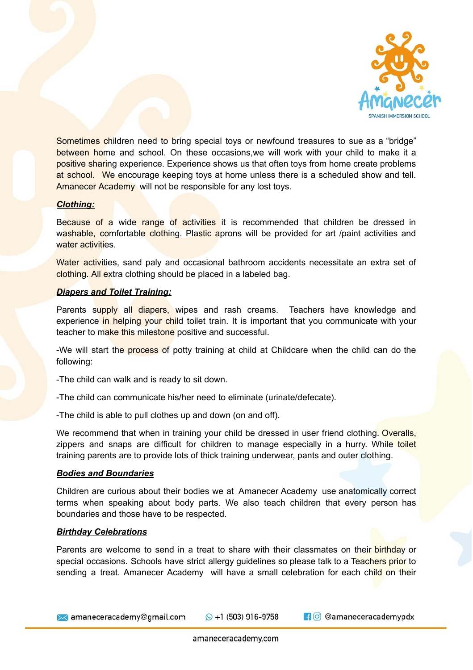

Sometimes children need to bring special toys or newfound treasures to sue as a "bridge" between home and school. On these occasions, we will work with your child to make it a positive sharing experience. Experience shows us that often toys from home create problems at school. We encourage keeping toys at home unless there is a scheduled show and tell. Amanecer Academy will not be responsible for any lost toys.

### *Clothing:*

Because of a wide range of activities it is recommended that children be dressed in washable, comfortable clothing. Plastic aprons will be provided for art /paint activities and water activities.

Water activities, sand paly and occasional bathroom accidents necessitate an extra set of clothing. All extra clothing should be placed in a labeled bag.

### *Diapers and Toilet Training:*

Parents supply all diapers, wipes and rash creams. Teachers have knowledge and experience in helping your child toilet train. It is important that you communicate with your teacher to make this milestone positive and successful.

-We will start the process of potty training at child at Childcare when the child can do the following:

-The child can walk and is ready to sit down.

- -The child can communicate his/her need to eliminate (urinate/defecate).
- -The child is able to pull clothes up and down (on and off).

We recommend that when in training your child be dressed in user friend clothing. Overalls, zippers and snaps are difficult for children to manage especially in a hurry. While toilet training parents are to provide lots of thick training underwear, pants and outer clothing.

### *Bodies and Boundaries*

Children are curious about their bodies we at Amanecer Academy use anatomically correct terms when speaking about body parts. We also teach children that every person has boundaries and those have to be respected.

### *Birthday Celebrations*

Parents are welcome to send in a treat to share with their classmates on their birthday or special occasions. Schools have strict allergy quidelines so please talk to a Teachers prior to sending a treat. Amanecer Academy will have a small celebration for each child on their

 $\bowtie$  amaneceracademy@gmail.com

 $\odot$  +1 (503) 916-9758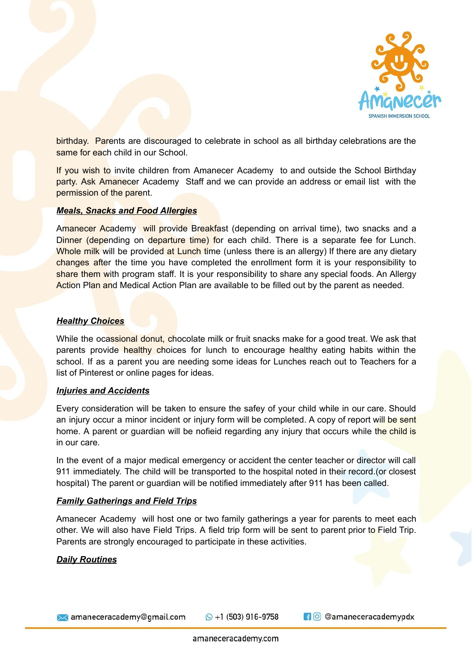

birthday. Parents are discouraged to celebrate in school as all birthday celebrations are the same for each child in our School.

If you wish to invite children from Amanecer Academy to and outside the School Birthday party. Ask Amanecer Academy Staff and we can provide an address or email list with the permission of the parent.

### *Meals, Snacks and Food Allergies*

Amanecer Academy will provide Breakfast (depending on arrival time), two snacks and a Dinner (depending on departure time) for each child. There is a separate fee for Lunch. Whole milk will be provided at Lunch time (unless there is an allergy) If there are any dietary changes after the time you have completed the enrollment form it is your responsibility to share them with program staff. It is your responsibility to share any special foods. An Allergy Action Plan and Medical Action Plan are available to be filled out by the parent as needed.

### *Healthy Choices*

While the ocassional donut, chocolate milk or fruit snacks make for a good treat. We ask that parents provide healthy choices for lunch to encourage healthy eating habits within the school. If as a parent you are needing some ideas for Lunches reach out to Teachers for a list of Pinterest or online pages for ideas.

#### *Injuries and Accidents*

Every consideration will be taken to ensure the safey of your child while in our care. Should an injury occur a minor incident or injury form will be completed. A copy of report will be sent home. A parent or guardian will be nofieid regarding any injury that occurs while the child is in our care.

In the event of a major medical emergency or accident the center teacher or director will call 911 immediately. The child will be transported to the hospital noted in their record.(or closest hospital) The parent or guardian will be notified immediately after 911 has been called.

#### *Family Gatherings and Field Trips*

Amanecer Academy will host one or two family gatherings a year for parents to meet each other. We will also have Field Trips. A field trip form will be sent to parent prior to Field Trip. Parents are strongly encouraged to participate in these activities.

#### *Daily Routines*

→ amaneceracademy@gmail.com

 $\odot$  +1 (503) 916-9758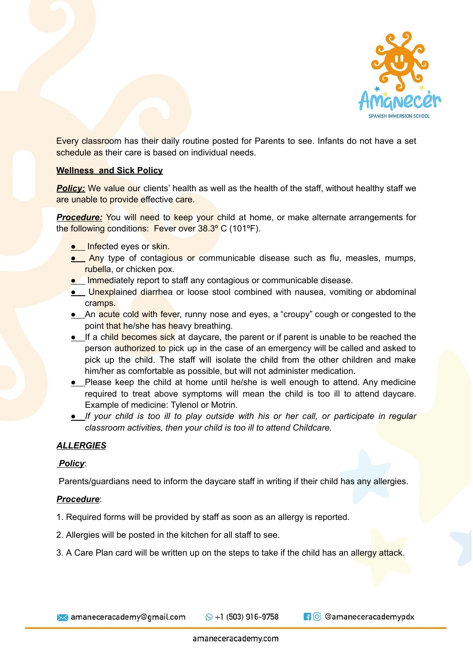

Every classroom has their daily routine posted for Parents to see. Infants do not have a set schedule as their care is based on individual needs.

## **Wellness and Sick Policy**

**Policy:** We value our clients' health as well as the health of the staff, without healthy staff we are unable to provide effective care.

**Procedure:** You will need to keep your child at home, or make alternate arrangements for the following conditions: Fever over 38.3° C (101°F).

- **•** Infected eyes or skin.
- **Any** type of contagious or communicable disease such as flu, measles, mumps, rubella, or chicken pox.
- **•** Immediately report to staff any contagious or communicable disease.
- **•** Unexplained diarrhea or loose stool combined with nausea, vomiting or abdominal cramps.
- **•** An acute cold with fever, runny nose and eyes, a "croupy" cough or congested to the point that he/she has heavy breathing.
- **•** If a child becomes sick at daycare, the parent or if parent is unable to be reached the person authorized to pick up in the case of an emergency will be called and asked to pick up the child. The staff will isolate the child from the other children and make him/her as comfortable as possible, but will not administer medication.
- **•** Please keep the child at home until he/she is well enough to attend. Any medicine required to treat above symptoms will mean the child is too ill to attend daycare. Example of medicine: Tylenol or Motrin.
- **●** *If your child is too ill to play outside with his or her call, or participate in regular classroom activities, then your child is too ill to attend Childcare.*

# *ALLERGIES*

# *Policy*:

Parents/guardians need to inform the daycare staff in writing if their child has any allergies.

### *Procedure*:

- 1. Required forms will be provided by staff as soon as an allergy is reported.
- 2. Allergies will be posted in the kitchen for all staff to see.
- 3. A Care Plan card will be written up on the steps to take if the child has an allergy attack.

 $\odot$  +1 (503) 916-9758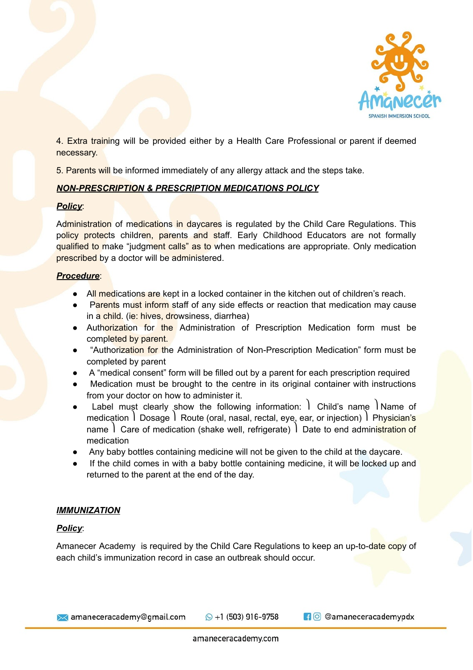

4. Extra training will be provided either by a Health Care Professional or parent if deemed necessary.

5. Parents will be informed immediately of any allergy attack and the steps take.

# *NON-PRESCRIPTION & PRESCRIPTION MEDICATIONS POLICY*

## *Policy*:

Administration of medications in daycares is regulated by the Child Care Regulations. This policy protects children, parents and staff. Early Childhood Educators are not formally qualified to make "judgment calls" as to when medications are appropriate. Only medication prescribed by a doctor will be administered.

## *Procedure*:

- All medications are kept in a locked container in the kitchen out of children's reach.
- Parents must inform staff of any side effects or reaction that medication may cause in a child. (ie: hives, drowsiness, diarrhea)
- Authorization for the Administration of Prescription Medication form must be completed by parent.
- "Authorization for the Administration of Non-Prescription Medication" form must be completed by parent
- A "medical consent" form will be filled out by a parent for each prescription required
- Medication must be brought to the centre in its original container with instructions from your doctor on how to administer it.
- Label must clearly show the following information: I Child's name I Name of medication I Dosage I Route (oral, nasal, rectal, eye, ear, or injection) I Physician's name  $\vert$  Care of medication (shake well, refrigerate)  $\vert$  Date to end administration of medication
- Any baby bottles containing medicine will not be given to the child at the daycare.
- If the child comes in with a baby bottle containing medicine, it will be locked up and returned to the parent at the end of the day.

# *IMMUNIZATION*

# *Policy*:

Amanecer Academy is required by the Child Care Regulations to keep an up-to-date copy of each child's immunization record in case an outbreak should occur.

**X** amaneceracademy@gmail.com

 $\odot$  +1 (503) 916-9758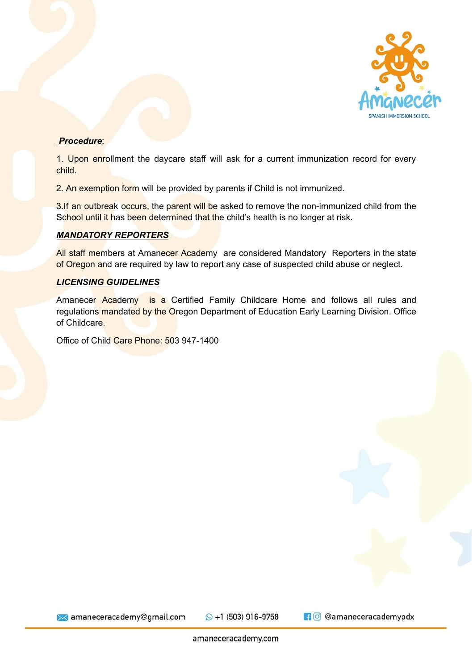

## *Procedure*:

1. Upon enrollment the daycare staff will ask for a current immunization record for every child.

2. An exemption form will be provided by parents if Child is not immunized.

3.If an outbreak occurs, the parent will be asked to remove the non-immunized child from the School until it has been determined that the child's health is no longer at risk.

## *MANDATORY REPORTERS*

All staff members at Amanecer Academy are considered Mandatory Reporters in the state of Oregon and are required by law to report any case of suspected child abuse or neglect.

## *LICENSING GUIDELINES*

Amanecer Academy is a Certified Family Childcare Home and follows all rules and regulations mandated by the Oregon Department of Education Early Learning Division. Office of Childcare.

Office of Child Care Phone: 503 947-1400

**X** amaneceracademy@gmail.com

 $\odot$  +1 (503) 916-9758